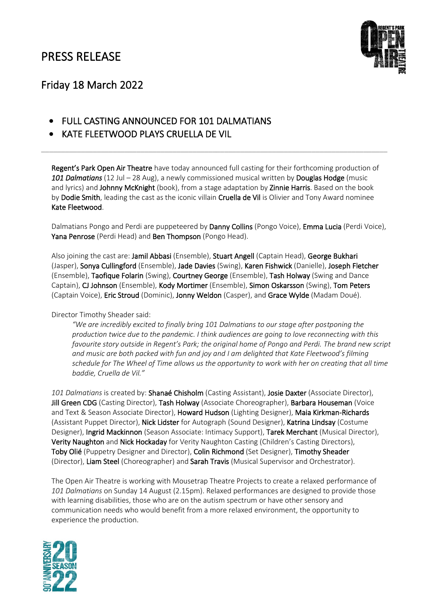

## Friday 18 March 2022

- FULL CASTING ANNOUNCED FOR 101 DALMATIANS
- KATE FLEETWOOD PLAYS CRUELLA DE VIL

Regent's Park Open Air Theatre have today announced full casting for their forthcoming production of *101 Dalmatians* (12 Jul – 28 Aug), a newly commissioned musical written by Douglas Hodge (music and lyrics) and Johnny McKnight (book), from a stage adaptation by Zinnie Harris. Based on the book by Dodie Smith, leading the cast as the iconic villain Cruella de Vil is Olivier and Tony Award nominee Kate Fleetwood.

\_\_\_\_\_\_\_\_\_\_\_\_\_\_\_\_\_\_\_\_\_\_\_\_\_\_\_\_\_\_\_\_\_\_\_\_\_\_\_\_\_\_\_\_\_\_\_\_\_\_\_\_\_\_\_\_\_\_\_\_\_\_\_\_\_\_\_\_\_\_\_\_\_\_\_\_\_\_\_\_\_\_\_\_\_\_\_

Dalmatians Pongo and Perdi are puppeteered by Danny Collins (Pongo Voice), Emma Lucia (Perdi Voice), Yana Penrose (Perdi Head) and Ben Thompson (Pongo Head).

Also joining the cast are: Jamil Abbasi (Ensemble), Stuart Angell (Captain Head), George Bukhari (Jasper), Sonya Cullingford (Ensemble), Jade Davies (Swing), Karen Fishwick (Danielle), Joseph Fletcher (Ensemble), Taofique Folarin (Swing), Courtney George (Ensemble), Tash Holway (Swing and Dance Captain), CJ Johnson (Ensemble), Kody Mortimer (Ensemble), Simon Oskarsson (Swing), Tom Peters (Captain Voice), Eric Stroud (Dominic), Jonny Weldon (Casper), and Grace Wylde (Madam Doué).

Director Timothy Sheader said:

*"We are incredibly excited to finally bring 101 Dalmatians to our stage after postponing the production twice due to the pandemic. I think audiences are going to love reconnecting with this favourite story outside in Regent's Park; the original home of Pongo and Perdi. The brand new script and music are both packed with fun and joy and I am delighted that Kate Fleetwood's filming schedule for The Wheel of Time allows us the opportunity to work with her on creating that all time baddie, Cruella de Vil."*

*101 Dalmatians* is created by: Shanaé Chisholm (Casting Assistant), Josie Daxter (Associate Director), Jill Green CDG (Casting Director), Tash Holway (Associate Choreographer), Barbara Houseman (Voice and Text & Season Associate Director), Howard Hudson (Lighting Designer), Maia Kirkman-Richards (Assistant Puppet Director), Nick Lidster for Autograph (Sound Designer), Katrina Lindsay (Costume Designer), Ingrid Mackinnon (Season Associate: Intimacy Support), Tarek Merchant (Musical Director), Verity Naughton and Nick Hockaday for Verity Naughton Casting (Children's Casting Directors), Toby Olié (Puppetry Designer and Director), Colin Richmond (Set Designer), Timothy Sheader (Director), Liam Steel (Choreographer) and Sarah Travis (Musical Supervisor and Orchestrator).

The Open Air Theatre is working with Mousetrap Theatre Projects to create a relaxed performance of *101 Dalmatians* on Sunday 14 August (2.15pm). Relaxed performances are designed to provide those with learning disabilities, those who are on the autism spectrum or have other sensory and communication needs who would benefit from a more relaxed environment, the opportunity to experience the production.

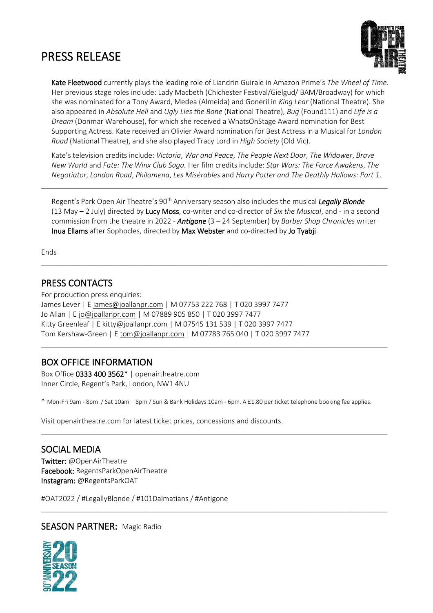

Kate Fleetwood currently plays the leading role of Liandrin Guirale in Amazon Prime's *The Wheel of Time*. Her previous stage roles include: Lady Macbeth (Chichester Festival/Gielgud/ BAM/Broadway) for which she was nominated for a Tony Award, Medea (Almeida) and Goneril in *King Lear* (National Theatre). She also appeared in *Absolute Hell* and *Ugly Lies the Bone* (National Theatre), *Bug* (Found111) and *Life is a Dream* (Donmar Warehouse), for which she received a WhatsOnStage Award nomination for Best Supporting Actress. Kate received an Olivier Award nomination for Best Actress in a Musical for *London Road* (National Theatre), and she also played Tracy Lord in *High Society* (Old Vic).

Kate's television credits include: *Victoria*, *War and Peace*, *The People Next Door*, *The Widower*, *Brave New World* and *Fate: The Winx Club Saga.* Her film credits include: *Star Wars: The Force Awakens*, *The Negotiator*, *London Road*, *Philomena*, *Les Misérables* and *Harry Potter and The Deathly Hallows: Part 1*.

\_\_\_\_\_\_\_\_\_\_\_\_\_\_\_\_\_\_\_\_\_\_\_\_\_\_\_\_\_\_\_\_\_\_\_\_\_\_\_\_\_\_\_\_\_\_\_\_\_\_\_\_\_\_\_\_\_\_\_\_\_\_\_\_\_\_\_\_\_\_\_\_\_\_\_\_\_\_\_\_\_\_\_\_\_\_\_

Regent's Park Open Air Theatre's 90th Anniversary season also includes the musical *Legally Blonde* (13 May – 2 July) directed by Lucy Moss, co-writer and co-director of *Six the Musical*, and - in a second commission from the theatre in 2022 - *Antigone* (3 – 24 September) by *Barber Shop Chronicles* writer Inua Ellams after Sophocles, directed by Max Webster and co-directed by Jo Tyabji.

\_\_\_\_\_\_\_\_\_\_\_\_\_\_\_\_\_\_\_\_\_\_\_\_\_\_\_\_\_\_\_\_\_\_\_\_\_\_\_\_\_\_\_\_\_\_\_\_\_\_\_\_\_\_\_\_\_\_\_\_\_\_\_\_\_\_\_\_\_\_\_\_\_\_\_\_\_\_\_\_\_\_\_\_\_\_\_

\_\_\_\_\_\_\_\_\_\_\_\_\_\_\_\_\_\_\_\_\_\_\_\_\_\_\_\_\_\_\_\_\_\_\_\_\_\_\_\_\_\_\_\_\_\_\_\_\_\_\_\_\_\_\_\_\_\_\_\_\_\_\_\_\_\_\_\_\_\_\_\_\_\_\_\_\_\_\_\_\_\_\_\_\_\_\_

Ends

## PRESS CONTACTS

For production press enquiries: James Lever | E james@joallanpr.com | M 07753 222 768 | T 020 3997 7477 Jo Allan | E [jo@joallanpr.com](mailto:jo@joallanpr.com) | M 07889 905 850 | T 020 3997 7477 Kitty Greenleaf | [E kitty@joallanpr.com](mailto:kitty@joallanpr.com) | M 07545 131 539 | T 020 3997 7477 Tom Kershaw-Green | E [tom@joallanpr.com](mailto:tom@joallanpr.com) | M 07783 765 040 | T 020 3997 7477

## BOX OFFICE INFORMATION

Box Office 0333 400 3562\* | openairtheatre.com Inner Circle, Regent's Park, London, NW1 4NU

\* Mon-Fri 9am - 8pm / Sat 10am – 8pm / Sun & Bank Holidays 10am - 6pm. A £1.80 per ticket telephone booking fee applies.

\_\_\_\_\_\_\_\_\_\_\_\_\_\_\_\_\_\_\_\_\_\_\_\_\_\_\_\_\_\_\_\_\_\_\_\_\_\_\_\_\_\_\_\_\_\_\_\_\_\_\_\_\_\_\_\_\_\_\_\_\_\_\_\_\_\_\_\_\_\_\_\_\_\_\_\_\_\_\_\_\_\_\_\_\_\_\_

\_\_\_\_\_\_\_\_\_\_\_\_\_\_\_\_\_\_\_\_\_\_\_\_\_\_\_\_\_\_\_\_\_\_\_\_\_\_\_\_\_\_\_\_\_\_\_\_\_\_\_\_\_\_\_\_\_\_\_\_\_\_\_\_\_\_\_\_\_\_\_\_\_\_\_\_\_\_\_\_\_\_\_\_\_\_\_

Visit openairtheatre.com for latest ticket prices, concessions and discounts.

### SOCIAL MEDIA

Twitter: @OpenAirTheatre Facebook: RegentsParkOpenAirTheatre Instagram: @RegentsParkOAT

#OAT2022 / #LegallyBlonde / #101Dalmatians / #Antigone

### SEASON PARTNER: Magic Radio

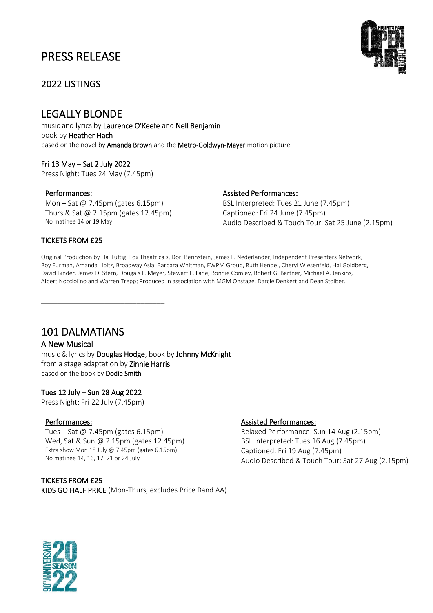## 2022 LISTINGS

## LEGALLY BLONDE

music and lyrics by Laurence O'Keefe and Nell Benjamin book by Heather Hach based on the novel by Amanda Brown and the Metro-Goldwyn-Mayer motion picture

Fri 13 May – Sat 2 July 2022 Press Night: Tues 24 May (7.45pm)

Mon – Sat @ 7.45pm (gates 6.15pm) Thurs & Sat @ 2.15pm (gates 12.45pm) No matinee 14 or 19 May

\_\_\_\_\_\_\_\_\_\_\_\_\_\_\_\_\_\_\_\_\_\_\_\_\_\_\_\_\_\_\_

#### Performances: Assisted Performances:

BSL Interpreted: Tues 21 June (7.45pm) Captioned: Fri 24 June (7.45pm) Audio Described & Touch Tour: Sat 25 June (2.15pm)

#### TICKETS FROM £25

Original Production by Hal Luftig, Fox Theatricals, Dori Berinstein, James L. Nederlander, Independent Presenters Network, Roy Furman, Amanda Lipitz, Broadway Asia, Barbara Whitman, FWPM Group, Ruth Hendel, Cheryl Wiesenfeld, Hal Goldberg, David Binder, James D. Stern, Dougals L. Meyer, Stewart F. Lane, Bonnie Comley, Robert G. Bartner, Michael A. Jenkins, Albert Nocciolino and Warren Trepp; Produced in association with MGM Onstage, Darcie Denkert and Dean Stolber.

## 101 DALMATIANS

#### A New Musical

music & lyrics by Douglas Hodge, book by Johnny McKnight from a stage adaptation by Zinnie Harris based on the book by Dodie Smith

#### Tues 12 July – Sun 28 Aug 2022

Press Night: Fri 22 July (7.45pm)

Tues – Sat @ 7.45pm (gates 6.15pm) Wed, Sat & Sun @ 2.15pm (gates 12.45pm) Extra show Mon 18 July @ 7.45pm (gates 6.15pm) No matinee 14, 16, 17, 21 or 24 July

TICKETS FROM £25 KIDS GO HALF PRICE (Mon-Thurs, excludes Price Band AA)

#### Performances: Assisted Performances:

Relaxed Performance: Sun 14 Aug (2.15pm) BSL Interpreted: Tues 16 Aug (7.45pm) Captioned: Fri 19 Aug (7.45pm) Audio Described & Touch Tour: Sat 27 Aug (2.15pm)